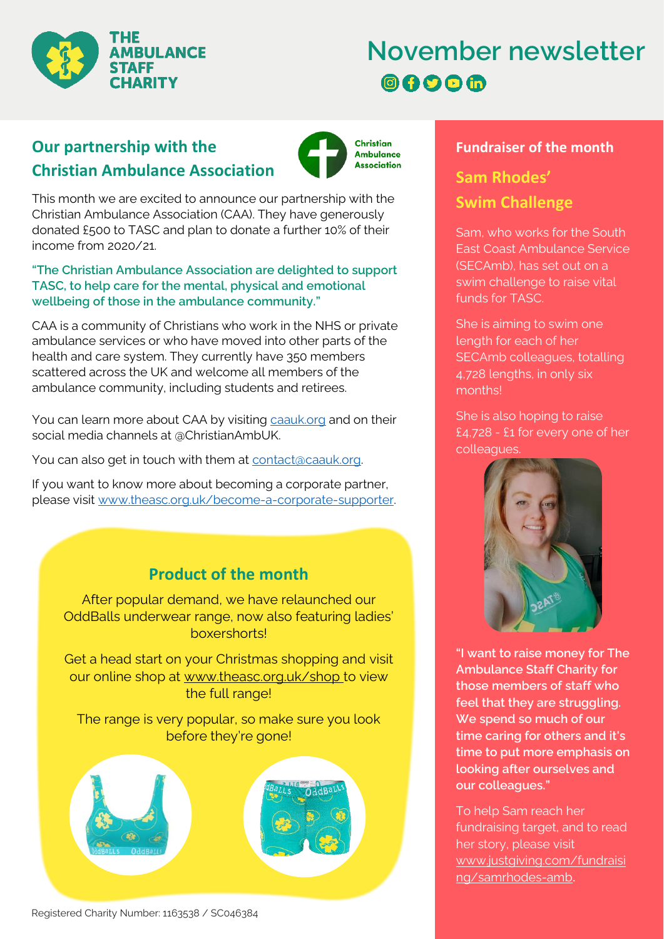

# **November newsletter 80000**

# **Christian Ambulance Association Our partnership with the**



This month we are excited to announce our partnership with the Christian Ambulance Association (CAA). They have generously donated £500 to TASC and plan to donate a further 10% of their income from 2020/21.

#### **"The Christian Ambulance Association are delighted to support TASC, to help care for the mental, physical and emotional wellbeing of those in the ambulance community."**

CAA is a community of Christians who work in the NHS or private ambulance services or who have moved into other parts of the health and care system. They currently have 350 members scattered across the UK and welcome all members of the ambulance community, including students and retirees.

You can learn more about CAA by visiting [caauk.org](https://caauk.org/) and on their social media channels at @ChristianAmbUK.

You can also get in touch with them at contact@caauk.org.

If you want to know more about becoming a corporate partner, please visit [www.theasc.org.uk/become-a-corporate-supporter.](http://www.theasc.org.uk/become-a-corporate-supporter)

### **Product of the month**

After popular demand, we have relaunched our OddBalls underwear range, now also featuring ladies' boxershorts!

Get a head start on your Christmas shopping and visit our online shop at [www.theasc.org.uk/shop](http://www.theasc.org.uk/shop) to view the full range!

The range is very popular, so make sure you look before they're gone!



#### Registered Charity Number: 1163538 / SC046384

### **Fundraiser of the month**

# **Sam Rhodes' Swim Challenge**

Sam, who works for the South East Coast Ambulance Service (SECAmb), has set out on a swim challenge to raise vital funds for TASC.

She is aiming to swim one length for each of her SECAmb colleagues, totalling 4,728 lengths, in only six months!

She is also hoping to raise £4,728 - £1 for every one of her colleagues.



**"I want to raise money for The Ambulance Staff Charity for those members of staff who feel that they are struggling. We spend so much of our time caring for others and it's time to put more emphasis on looking after ourselves and our colleagues."**

To help Sam reach her fundraising target, and to read her story, please visit [www.justgiving.com/fundraisi](http://www.justgiving.com/fundraising/samrhodes-amb) [ng/samrhodes-amb](http://www.justgiving.com/fundraising/samrhodes-amb).